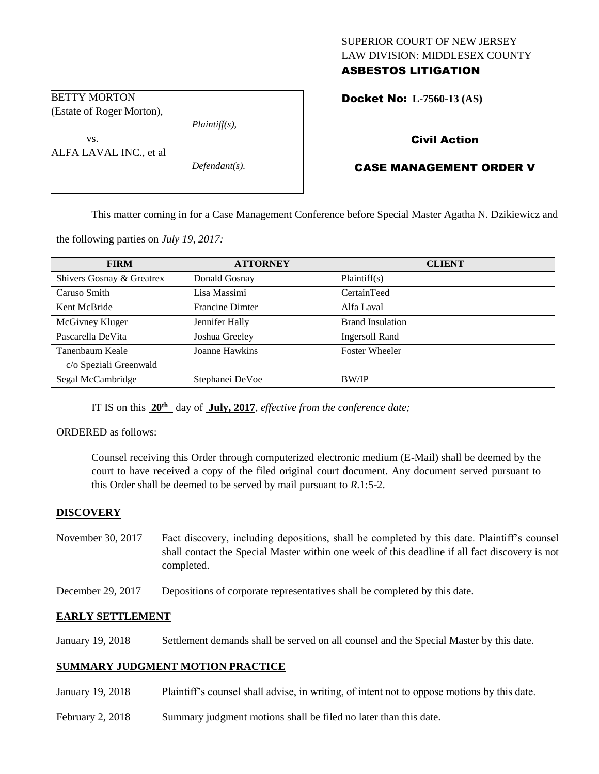## SUPERIOR COURT OF NEW JERSEY LAW DIVISION: MIDDLESEX COUNTY ASBESTOS LITIGATION

Docket No: **L-7560-13 (AS)** 

### BETTY MORTON (Estate of Roger Morton),

*Plaintiff(s),*

ALFA LAVAL INC., et al

vs.

*Defendant(s).*

# Civil Action

# CASE MANAGEMENT ORDER V

This matter coming in for a Case Management Conference before Special Master Agatha N. Dzikiewicz and

the following parties on *July 19, 2017:*

| <b>FIRM</b>               | <b>ATTORNEY</b>        | <b>CLIENT</b>           |
|---------------------------|------------------------|-------------------------|
| Shivers Gosnay & Greatrex | Donald Gosnay          | Plaintiff(s)            |
| Caruso Smith              | Lisa Massimi           | CertainTeed             |
| Kent McBride              | <b>Francine Dimter</b> | Alfa Laval              |
| McGivney Kluger           | Jennifer Hally         | <b>Brand Insulation</b> |
| Pascarella DeVita         | Joshua Greeley         | <b>Ingersoll Rand</b>   |
| Tanenbaum Keale           | Joanne Hawkins         | <b>Foster Wheeler</b>   |
| c/o Speziali Greenwald    |                        |                         |
| Segal McCambridge         | Stephanei DeVoe        | <b>BW/IP</b>            |

IT IS on this  $20^{\text{th}}$  day of July, 2017, *effective from the conference date*;

ORDERED as follows:

Counsel receiving this Order through computerized electronic medium (E-Mail) shall be deemed by the court to have received a copy of the filed original court document. Any document served pursuant to this Order shall be deemed to be served by mail pursuant to *R*.1:5-2.

## **DISCOVERY**

- November 30, 2017 Fact discovery, including depositions, shall be completed by this date. Plaintiff's counsel shall contact the Special Master within one week of this deadline if all fact discovery is not completed.
- December 29, 2017 Depositions of corporate representatives shall be completed by this date.

### **EARLY SETTLEMENT**

January 19, 2018 Settlement demands shall be served on all counsel and the Special Master by this date.

### **SUMMARY JUDGMENT MOTION PRACTICE**

- January 19, 2018 Plaintiff's counsel shall advise, in writing, of intent not to oppose motions by this date.
- February 2, 2018 Summary judgment motions shall be filed no later than this date.